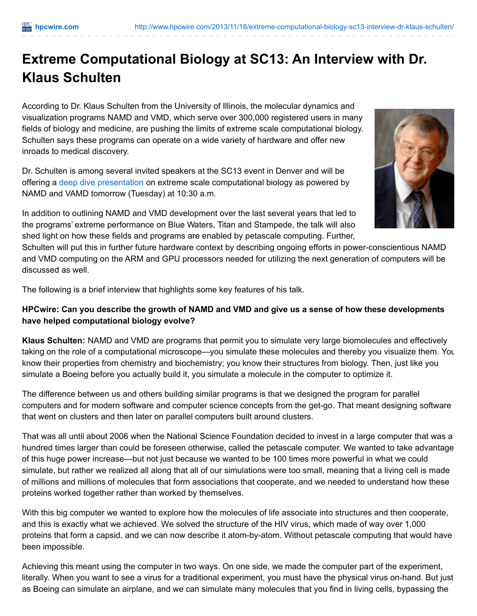# **Extreme Computational Biology at SC13: An Interview with Dr. Klaus Schulten**

According to Dr. Klaus Schulten from the University of Illinois, the molecular dynamics and visualization programs NAMD and VMD, which serve over 300,000 registered users in many fields of biology and medicine, are pushing the limits of extreme scale computational biology. Schulten says these programs can operate on a wide variety of hardware and offer new inroads to medical discovery.

Dr. Schulten is among several invited speakers at the SC13 event in Denver and will be offering a deep dive [presentation](http://sc13.supercomputing.org/schedule/index.php?sort=time) on extreme scale computational biology as powered by NAMD and VAMD tomorrow (Tuesday) at 10:30 a.m.



In addition to outlining NAMD and VMD development over the last several years that led to the programs' extreme performance on Blue Waters, Titan and Stampede, the talk will also shed light on how these fields and programs are enabled by petascale computing. Further,

Schulten will put this in further future hardware context by describing ongoing efforts in power-conscientious NAMD and VMD computing on the ARM and GPU processors needed for utilizing the next generation of computers will be discussed as well.

The following is a brief interview that highlights some key features of his talk.

## HPCwire: Can you describe the growth of NAMD and VMD and give us a sense of how these developments **have helped computational biology evolve?**

**Klaus Schulten:** NAMD and VMD are programs that permit you to simulate very large biomolecules and effectively taking on the role of a computational microscope—you simulate these molecules and thereby you visualize them. You know their properties from chemistry and biochemistry; you know their structures from biology. Then, just like you simulate a Boeing before you actually build it, you simulate a molecule in the computer to optimize it.

The difference between us and others building similar programs is that we designed the program for parallel computers and for modern software and computer science concepts from the get-go. That meant designing software that went on clusters and then later on parallel computers built around clusters.

That was all until about 2006 when the National Science Foundation decided to invest in a large computer that was a hundred times larger than could be foreseen otherwise, called the petascale computer. We wanted to take advantage of this huge power increase—but not just because we wanted to be 100 times more powerful in what we could simulate, but rather we realized all along that all of our simulations were too small, meaning that a living cell is made of millions and millions of molecules that form associations that cooperate, and we needed to understand how these proteins worked together rather than worked by themselves.

With this big computer we wanted to explore how the molecules of life associate into structures and then cooperate, and this is exactly what we achieved. We solved the structure of the HIV virus, which made of way over 1,000 proteins that form a capsid, and we can now describe it atom-by-atom. Without petascale computing that would have been impossible.

Achieving this meant using the computer in two ways. On one side, we made the computer part of the experiment, literally. When you want to see a virus for a traditional experiment, you must have the physical virus on-hand. But just as Boeing can simulate an airplane, and we can simulate many molecules that you find in living cells, bypassing the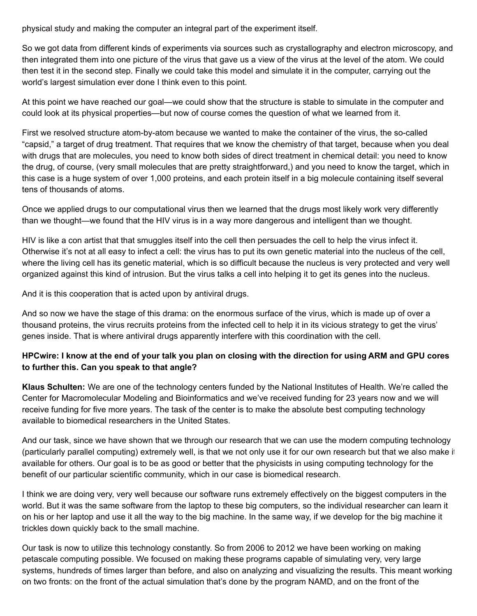physical study and making the computer an integral part of the experiment itself.

So we got data from different kinds of experiments via sources such as crystallography and electron microscopy, and then integrated them into one picture of the virus that gave us a view of the virus at the level of the atom. We could then test it in the second step. Finally we could take this model and simulate it in the computer, carrying out the world's largest simulation ever done I think even to this point.

At this point we have reached our goal—we could show that the structure is stable to simulate in the computer and could look at its physical properties—but now of course comes the question of what we learned from it.

First we resolved structure atom-by-atom because we wanted to make the container of the virus, the so-called "capsid," a target of drug treatment. That requires that we know the chemistry of that target, because when you deal with drugs that are molecules, you need to know both sides of direct treatment in chemical detail: you need to know the drug, of course, (very small molecules that are pretty straightforward,) and you need to know the target, which in this case is a huge system of over 1,000 proteins, and each protein itself in a big molecule containing itself several tens of thousands of atoms.

Once we applied drugs to our computational virus then we learned that the drugs most likely work very differently than we thought—we found that the HIV virus is in a way more dangerous and intelligent than we thought.

HIV is like a con artist that that smuggles itself into the cell then persuades the cell to help the virus infect it. Otherwise it's not at all easy to infect a cell: the virus has to put its own genetic material into the nucleus of the cell, where the living cell has its genetic material, which is so difficult because the nucleus is very protected and very well organized against this kind of intrusion. But the virus talks a cell into helping it to get its genes into the nucleus.

And it is this cooperation that is acted upon by antiviral drugs.

And so now we have the stage of this drama: on the enormous surface of the virus, which is made up of over a thousand proteins, the virus recruits proteins from the infected cell to help it in its vicious strategy to get the virus' genes inside. That is where antiviral drugs apparently interfere with this coordination with the cell.

## HPCwire: I know at the end of your talk you plan on closing with the direction for using ARM and GPU cores **to further this. Can you speak to that angle?**

**Klaus Schulten:** We are one of the technology centers funded by the National Institutes of Health. We're called the Center for Macromolecular Modeling and Bioinformatics and we've received funding for 23 years now and we will receive funding for five more years. The task of the center is to make the absolute best computing technology available to biomedical researchers in the United States.

And our task, since we have shown that we through our research that we can use the modern computing technology (particularly parallel computing) extremely well, is that we not only use it for our own research but that we also make it available for others. Our goal is to be as good or better that the physicists in using computing technology for the benefit of our particular scientific community, which in our case is biomedical research.

I think we are doing very, very well because our software runs extremely effectively on the biggest computers in the world. But it was the same software from the laptop to these big computers, so the individual researcher can learn it on his or her laptop and use it all the way to the big machine. In the same way, if we develop for the big machine it trickles down quickly back to the small machine.

Our task is now to utilize this technology constantly. So from 2006 to 2012 we have been working on making petascale computing possible. We focused on making these programs capable of simulating very, very large systems, hundreds of times larger than before, and also on analyzing and visualizing the results. This meant working on two fronts: on the front of the actual simulation that's done by the program NAMD, and on the front of the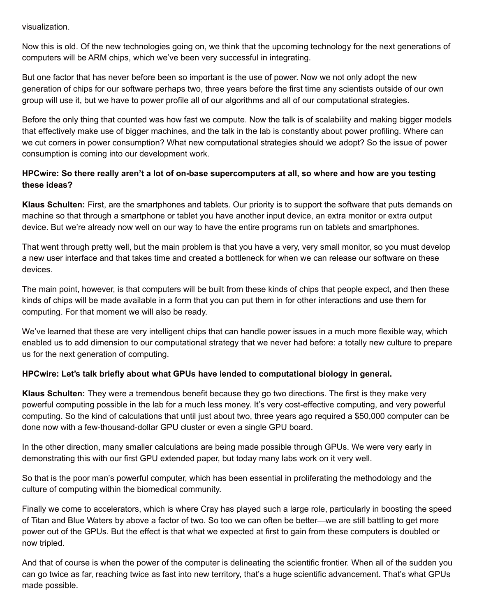visualization.

Now this is old. Of the new technologies going on, we think that the upcoming technology for the next generations of computers will be ARM chips, which we've been very successful in integrating.

But one factor that has never before been so important is the use of power. Now we not only adopt the new generation of chips for our software perhaps two, three years before the first time any scientists outside of our own group will use it, but we have to power profile all of our algorithms and all of our computational strategies.

Before the only thing that counted was how fast we compute. Now the talk is of scalability and making bigger models that effectively make use of bigger machines, and the talk in the lab is constantly about power profiling. Where can we cut corners in power consumption? What new computational strategies should we adopt? So the issue of power consumption is coming into our development work.

## HPCwire: So there really aren't a lot of on-base supercomputers at all, so where and how are you testing **these ideas?**

**Klaus Schulten:** First, are the smartphones and tablets. Our priority is to support the software that puts demands on machine so that through a smartphone or tablet you have another input device, an extra monitor or extra output device. But we're already now well on our way to have the entire programs run on tablets and smartphones.

That went through pretty well, but the main problem is that you have a very, very small monitor, so you must develop a new user interface and that takes time and created a bottleneck for when we can release our software on these devices.

The main point, however, is that computers will be built from these kinds of chips that people expect, and then these kinds of chips will be made available in a form that you can put them in for other interactions and use them for computing. For that moment we will also be ready.

We've learned that these are very intelligent chips that can handle power issues in a much more flexible way, which enabled us to add dimension to our computational strategy that we never had before: a totally new culture to prepare us for the next generation of computing.

## **HPCwire: Let's talk briefly about what GPUs have lended to computational biology in general.**

**Klaus Schulten:** They were a tremendous benefit because they go two directions. The first is they make very powerful computing possible in the lab for a much less money. It's very cost-effective computing, and very powerful computing. So the kind of calculations that until just about two, three years ago required a \$50,000 computer can be done now with a few-thousand-dollar GPU cluster or even a single GPU board.

In the other direction, many smaller calculations are being made possible through GPUs. We were very early in demonstrating this with our first GPU extended paper, but today many labs work on it very well.

So that is the poor man's powerful computer, which has been essential in proliferating the methodology and the culture of computing within the biomedical community.

Finally we come to accelerators, which is where Cray has played such a large role, particularly in boosting the speed of Titan and Blue Waters by above a factor of two. So too we can often be better—we are still battling to get more power out of the GPUs. But the effect is that what we expected at first to gain from these computers is doubled or now tripled.

And that of course is when the power of the computer is delineating the scientific frontier. When all of the sudden you can go twice as far, reaching twice as fast into new territory, that's a huge scientific advancement. That's what GPUs made possible.